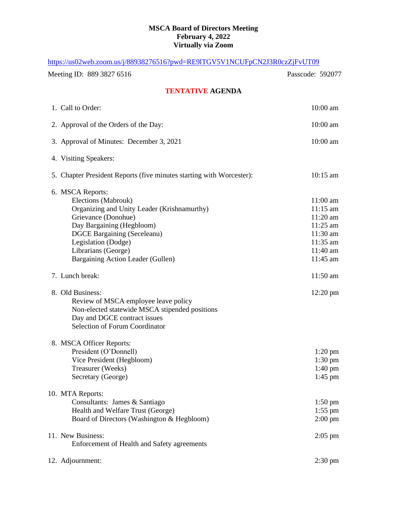## **MSCA Board of Directors Meeting February 4, 2022 Virtually via Zoom**

| https://us02web.zoom.us/j/88938276516?pwd=RE9ITGV5V1NCUFpCN2J3R0czZjFvUT09                                                                                                                                                                                          |                                                                                                            |
|---------------------------------------------------------------------------------------------------------------------------------------------------------------------------------------------------------------------------------------------------------------------|------------------------------------------------------------------------------------------------------------|
| Meeting ID: 889 3827 6516                                                                                                                                                                                                                                           | Passcode: 592077                                                                                           |
| <b>TENTATIVE AGENDA</b>                                                                                                                                                                                                                                             |                                                                                                            |
| 1. Call to Order:                                                                                                                                                                                                                                                   | $10:00$ am                                                                                                 |
| 2. Approval of the Orders of the Day:                                                                                                                                                                                                                               | $10:00$ am                                                                                                 |
| 3. Approval of Minutes: December 3, 2021                                                                                                                                                                                                                            | $10:00$ am                                                                                                 |
| 4. Visiting Speakers:                                                                                                                                                                                                                                               |                                                                                                            |
| 5. Chapter President Reports (five minutes starting with Worcester):                                                                                                                                                                                                | $10:15 \text{ am}$                                                                                         |
| 6. MSCA Reports:<br>Elections (Mabrouk)<br>Organizing and Unity Leader (Krishnamurthy)<br>Grievance (Donohue)<br>Day Bargaining (Hegbloom)<br><b>DGCE Bargaining (Seceleanu)</b><br>Legislation (Dodge)<br>Librarians (George)<br>Bargaining Action Leader (Gullen) | $11:00$ am<br>$11:15$ am<br>$11:20$ am<br>$11:25$ am<br>$11:30$ am<br>$11:35$ am<br>$11:40$ am<br>11:45 am |
| 7. Lunch break:                                                                                                                                                                                                                                                     | $11:50 \text{ am}$                                                                                         |
| 8. Old Business:<br>Review of MSCA employee leave policy<br>Non-elected statewide MSCA stipended positions<br>Day and DGCE contract issues<br><b>Selection of Forum Coordinator</b>                                                                                 | $12:20 \text{ pm}$                                                                                         |
| 8. MSCA Officer Reports:<br>President (O'Donnell)<br>Vice President (Hegbloom)<br>Treasurer (Weeks)<br>Secretary (George)                                                                                                                                           | $1:20 \text{ pm}$<br>$1:30 \text{ pm}$<br>$1:40 \text{ pm}$<br>$1:45$ pm                                   |
| 10. MTA Reports:<br>Consultants: James & Santiago<br>Health and Welfare Trust (George)<br>Board of Directors (Washington & Hegbloom)                                                                                                                                | $1:50 \text{ pm}$<br>$1:55$ pm<br>$2:00 \text{ pm}$                                                        |
| 11. New Business:<br>Enforcement of Health and Safety agreements                                                                                                                                                                                                    | $2:05$ pm                                                                                                  |
| 12. Adjournment:                                                                                                                                                                                                                                                    | $2:30 \text{ pm}$                                                                                          |